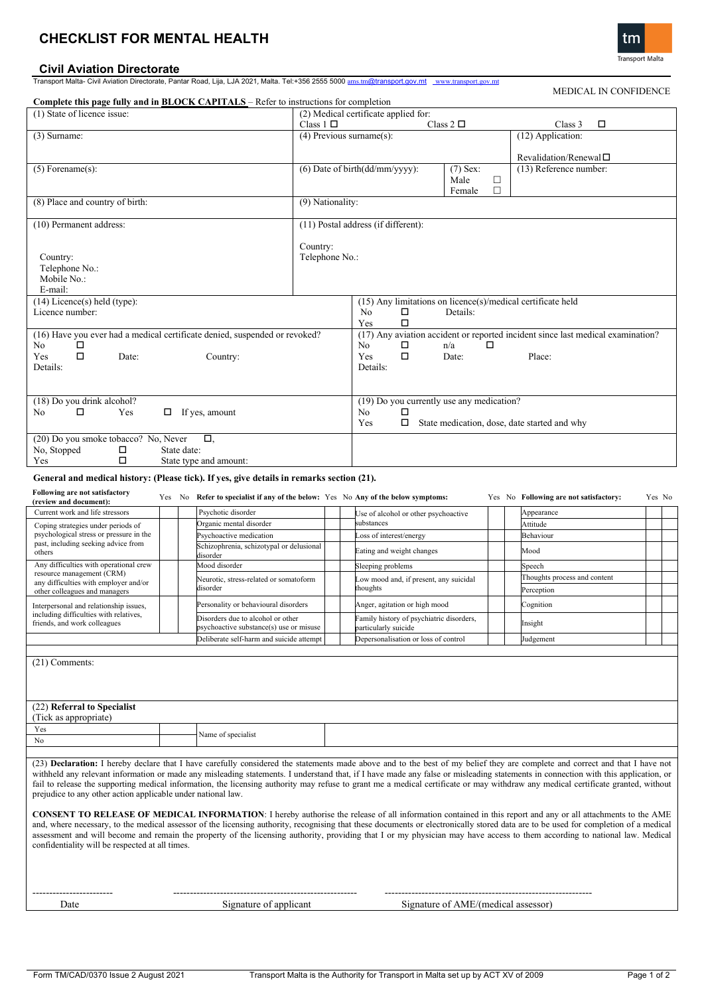# **CHECKLIST FOR MENTAL HEALTH**

# **Civil Aviation Directorate**

Transport Malta- Civil Aviation Directorate, Pantar Road, Lija, LJA 2021, Malta. Tel:+356 2555 5000 [ams.tm](mailto:ams.tm)@transport.gov.mt [www.transport.gov.mt](http://www.transport.gov.mt/)

| Complete this page fully and in <b>BLOCK CAPITALS</b> - Refer to instructions for completion                                                                                                                                                                                                                                                                                                                                                                                                                                                                                                                                                                                                                                                                                          |                                                                                                  |                                                                                   |                                                       |                                                                                                                    |                                     |                        |                                                          |  |        |  |
|---------------------------------------------------------------------------------------------------------------------------------------------------------------------------------------------------------------------------------------------------------------------------------------------------------------------------------------------------------------------------------------------------------------------------------------------------------------------------------------------------------------------------------------------------------------------------------------------------------------------------------------------------------------------------------------------------------------------------------------------------------------------------------------|--------------------------------------------------------------------------------------------------|-----------------------------------------------------------------------------------|-------------------------------------------------------|--------------------------------------------------------------------------------------------------------------------|-------------------------------------|------------------------|----------------------------------------------------------|--|--------|--|
| (1) State of licence issue:                                                                                                                                                                                                                                                                                                                                                                                                                                                                                                                                                                                                                                                                                                                                                           |                                                                                                  |                                                                                   | (2) Medical certificate applied for:<br>Class $1\Box$ |                                                                                                                    |                                     |                        |                                                          |  |        |  |
| (3) Surname:                                                                                                                                                                                                                                                                                                                                                                                                                                                                                                                                                                                                                                                                                                                                                                          |                                                                                                  |                                                                                   | Class $2\Box$<br>$(4)$ Previous surname $(s)$ :       |                                                                                                                    |                                     |                        | Class 3<br>□<br>(12) Application:                        |  |        |  |
|                                                                                                                                                                                                                                                                                                                                                                                                                                                                                                                                                                                                                                                                                                                                                                                       |                                                                                                  |                                                                                   |                                                       |                                                                                                                    |                                     |                        |                                                          |  |        |  |
| $(5)$ Forename $(s)$ :                                                                                                                                                                                                                                                                                                                                                                                                                                                                                                                                                                                                                                                                                                                                                                |                                                                                                  |                                                                                   |                                                       | (6) Date of birth(dd/mm/yyyy):                                                                                     | $(7)$ Sex:                          |                        | Revalidation/Renewal $\square$<br>(13) Reference number: |  |        |  |
|                                                                                                                                                                                                                                                                                                                                                                                                                                                                                                                                                                                                                                                                                                                                                                                       |                                                                                                  |                                                                                   |                                                       | Male<br>□<br>$\Box$<br>Female                                                                                      |                                     |                        |                                                          |  |        |  |
| (8) Place and country of birth:                                                                                                                                                                                                                                                                                                                                                                                                                                                                                                                                                                                                                                                                                                                                                       |                                                                                                  |                                                                                   | (9) Nationality:                                      |                                                                                                                    |                                     |                        |                                                          |  |        |  |
| (10) Permanent address:                                                                                                                                                                                                                                                                                                                                                                                                                                                                                                                                                                                                                                                                                                                                                               |                                                                                                  |                                                                                   |                                                       | (11) Postal address (if different):                                                                                |                                     |                        |                                                          |  |        |  |
| Country:<br>Telephone No.:<br>Mobile No.:<br>E-mail:                                                                                                                                                                                                                                                                                                                                                                                                                                                                                                                                                                                                                                                                                                                                  |                                                                                                  |                                                                                   | Country:<br>Telephone No.:                            |                                                                                                                    |                                     |                        |                                                          |  |        |  |
| $(14)$ Licence(s) held (type):<br>Licence number:                                                                                                                                                                                                                                                                                                                                                                                                                                                                                                                                                                                                                                                                                                                                     | $(15)$ Any limitations on licence(s)/medical certificate held<br>N <sub>o</sub><br>□<br>Details: |                                                                                   |                                                       |                                                                                                                    |                                     |                        |                                                          |  |        |  |
| (16) Have you ever had a medical certificate denied, suspended or revoked?                                                                                                                                                                                                                                                                                                                                                                                                                                                                                                                                                                                                                                                                                                            | ◻<br>Yes<br>(17) Any aviation accident or reported incident since last medical examination?      |                                                                                   |                                                       |                                                                                                                    |                                     |                        |                                                          |  |        |  |
| No<br>□<br>П<br>Yes<br>Date:<br>Details:                                                                                                                                                                                                                                                                                                                                                                                                                                                                                                                                                                                                                                                                                                                                              |                                                                                                  | No<br>□<br>□<br>Yes<br>Details:                                                   | □<br>n/a<br>Date:                                     |                                                                                                                    | Place:                              |                        |                                                          |  |        |  |
| (18) Do you drink alcohol?<br>□<br>Yes<br>No<br>$\Box$ If yes, amount                                                                                                                                                                                                                                                                                                                                                                                                                                                                                                                                                                                                                                                                                                                 |                                                                                                  |                                                                                   |                                                       | (19) Do you currently use any medication?<br>No<br>□<br>Yes<br>$\Box$ State medication, dose, date started and why |                                     |                        |                                                          |  |        |  |
| (20) Do you smoke tobacco? No, Never<br>Ο.<br>No, Stopped<br>□<br>State date:<br>□<br>Yes<br>State type and amount:                                                                                                                                                                                                                                                                                                                                                                                                                                                                                                                                                                                                                                                                   |                                                                                                  |                                                                                   |                                                       |                                                                                                                    |                                     |                        |                                                          |  |        |  |
| General and medical history: (Please tick). If yes, give details in remarks section (21).                                                                                                                                                                                                                                                                                                                                                                                                                                                                                                                                                                                                                                                                                             |                                                                                                  |                                                                                   |                                                       |                                                                                                                    |                                     |                        |                                                          |  |        |  |
| Following are not satisfactory                                                                                                                                                                                                                                                                                                                                                                                                                                                                                                                                                                                                                                                                                                                                                        |                                                                                                  |                                                                                   |                                                       |                                                                                                                    |                                     |                        |                                                          |  |        |  |
| (review and document):                                                                                                                                                                                                                                                                                                                                                                                                                                                                                                                                                                                                                                                                                                                                                                |                                                                                                  | Yes No Refer to specialist if any of the below: Yes No Any of the below symptoms: |                                                       |                                                                                                                    |                                     |                        | Yes No Following are not satisfactory:                   |  | Yes No |  |
| Current work and life stressors<br>Coping strategies under periods of<br>psychological stress or pressure in the<br>past, including seeking advice from<br>others                                                                                                                                                                                                                                                                                                                                                                                                                                                                                                                                                                                                                     |                                                                                                  | Psychotic disorder<br>Organic mental disorder                                     |                                                       | Jse of alcohol or other psychoactive<br>substances                                                                 |                                     | Appearance<br>Attitude |                                                          |  |        |  |
|                                                                                                                                                                                                                                                                                                                                                                                                                                                                                                                                                                                                                                                                                                                                                                                       |                                                                                                  | Psychoactive medication<br>Schizophrenia, schizotypal or delusional<br>disorder   |                                                       | oss of interest/energy                                                                                             |                                     |                        | Behaviour                                                |  |        |  |
|                                                                                                                                                                                                                                                                                                                                                                                                                                                                                                                                                                                                                                                                                                                                                                                       |                                                                                                  |                                                                                   |                                                       | Eating and weight changes                                                                                          |                                     |                        | Mood                                                     |  |        |  |
| Any difficulties with operational crew<br>resource management (CRM)<br>any difficulties with employer and/or<br>other colleagues and managers                                                                                                                                                                                                                                                                                                                                                                                                                                                                                                                                                                                                                                         |                                                                                                  | Mood disorder                                                                     |                                                       | Sleeping problems                                                                                                  |                                     |                        | Speech                                                   |  |        |  |
|                                                                                                                                                                                                                                                                                                                                                                                                                                                                                                                                                                                                                                                                                                                                                                                       |                                                                                                  | Neurotic, stress-related or somatoform<br>disorder                                |                                                       | Low mood and, if present, any suicidal<br>thoughts                                                                 |                                     |                        | Thoughts process and content<br>Perception               |  |        |  |
| Interpersonal and relationship issues,<br>including difficulties with relatives,<br>friends, and work colleagues                                                                                                                                                                                                                                                                                                                                                                                                                                                                                                                                                                                                                                                                      |                                                                                                  | Personality or behavioural disorders                                              |                                                       | Anger, agitation or high mood                                                                                      |                                     |                        | Cognition                                                |  |        |  |
|                                                                                                                                                                                                                                                                                                                                                                                                                                                                                                                                                                                                                                                                                                                                                                                       |                                                                                                  | Disorders due to alcohol or other<br>psychoactive substance(s) use or misuse      |                                                       | Family history of psychiatric disorders,<br>particularly suicide                                                   |                                     |                        | nsight                                                   |  |        |  |
|                                                                                                                                                                                                                                                                                                                                                                                                                                                                                                                                                                                                                                                                                                                                                                                       |                                                                                                  | Deliberate self-harm and suicide attempt                                          |                                                       | Depersonalisation or loss of control                                                                               |                                     |                        | Judgement                                                |  |        |  |
| $(21)$ Comments:                                                                                                                                                                                                                                                                                                                                                                                                                                                                                                                                                                                                                                                                                                                                                                      |                                                                                                  |                                                                                   |                                                       |                                                                                                                    |                                     |                        |                                                          |  |        |  |
| (22) Referral to Specialist<br>(Tick as appropriate)<br>Yes                                                                                                                                                                                                                                                                                                                                                                                                                                                                                                                                                                                                                                                                                                                           |                                                                                                  |                                                                                   |                                                       |                                                                                                                    |                                     |                        |                                                          |  |        |  |
| No                                                                                                                                                                                                                                                                                                                                                                                                                                                                                                                                                                                                                                                                                                                                                                                    |                                                                                                  | Name of specialist                                                                |                                                       |                                                                                                                    |                                     |                        |                                                          |  |        |  |
|                                                                                                                                                                                                                                                                                                                                                                                                                                                                                                                                                                                                                                                                                                                                                                                       |                                                                                                  |                                                                                   |                                                       |                                                                                                                    |                                     |                        |                                                          |  |        |  |
| (23) Declaration: I hereby declare that I have carefully considered the statements made above and to the best of my belief they are complete and correct and that I have not<br>withheld any relevant information or made any misleading statements. I understand that, if I have made any false or misleading statements in connection with this application, or<br>fail to release the supporting medical information, the licensing authority may refuse to grant me a medical certificate or may withdraw any medical certificate granted, without<br>prejudice to any other action applicable under national law.<br>CONSENT TO RELEASE OF MEDICAL INFORMATION: I hereby authorise the release of all information contained in this report and any or all attachments to the AME |                                                                                                  |                                                                                   |                                                       |                                                                                                                    |                                     |                        |                                                          |  |        |  |
| and, where necessary, to the medical assessor of the licensing authority, recognising that these documents or electronically stored data are to be used for completion of a medical<br>assessment and will become and remain the property of the licensing authority, providing that I or my physician may have access to them according to national law. Medical<br>confidentiality will be respected at all times.                                                                                                                                                                                                                                                                                                                                                                  |                                                                                                  |                                                                                   |                                                       |                                                                                                                    |                                     |                        |                                                          |  |        |  |
| Date                                                                                                                                                                                                                                                                                                                                                                                                                                                                                                                                                                                                                                                                                                                                                                                  |                                                                                                  | Signature of applicant                                                            |                                                       |                                                                                                                    | Signature of AME/(medical assessor) |                        |                                                          |  |        |  |



# MEDICAL IN CONFIDENCE